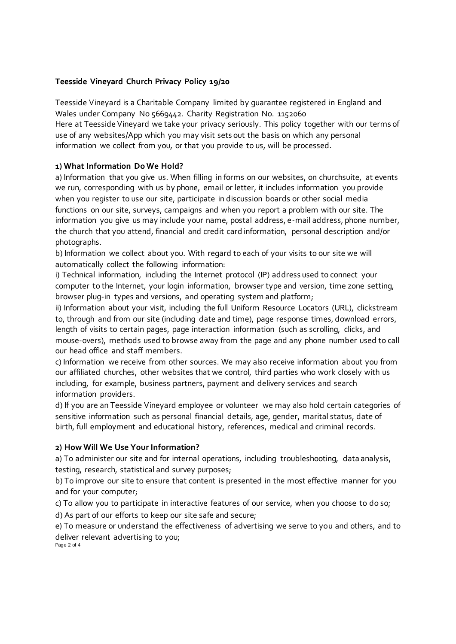# **Teesside Vineyard Church Privacy Policy 19/20**

Teesside Vineyard is a Charitable Company limited by guarantee registered in England and Wales under Company No 5669442. Charity Registration No. 1152060 Here at Teesside Vineyard we take your privacy seriously. This policy together with our terms of use of any websites/App which you may visit sets out the basis on which any personal information we collect from you, or that you provide to us, will be processed.

# **1) What Information Do We Hold?**

a) Information that you give us. When filling in forms on our websites, on churchsuite, at events we run, corresponding with us by phone, email or letter, it includes information you provide when you register to use our site, participate in discussion boards or other social media functions on our site, surveys, campaigns and when you report a problem with our site. The information you give us may include your name, postal address, e-mail address, phone number, the church that you attend, financial and credit card information, personal description and/or photographs.

b) Information we collect about you. With regard to each of your visits to our site we will automatically collect the following information:

i) Technical information, including the Internet protocol (IP) address used to connect your computer to the Internet, your login information, browser type and version, time zone setting, browser plug-in types and versions, and operating system and platform;

ii) Information about your visit, including the full Uniform Resource Locators (URL), clickstream to, through and from our site (including date and time), page response times, download errors, length of visits to certain pages, page interaction information (such as scrolling, clicks, and mouse-overs), methods used to browse away from the page and any phone number used to call our head office and staff members.

c) Information we receive from other sources. We may also receive information about you from our affiliated churches, other websites that we control, third parties who work closely with us including, for example, business partners, payment and delivery services and search information providers.

d) If you are an Teesside Vineyard employee or volunteer we may also hold certain categories of sensitive information such as personal financial details, age, gender, marital status, date of birth, full employment and educational history, references, medical and criminal records.

### **2) How Will We Use Your Information?**

a) To administer our site and for internal operations, including troubleshooting, data analysis, testing, research, statistical and survey purposes;

b) To improve our site to ensure that content is presented in the most effective manner for you and for your computer;

c) To allow you to participate in interactive features of our service, when you choose to do so; d) As part of our efforts to keep our site safe and secure;

e) To measure or understand the effectiveness of advertising we serve to you and others, and to deliver relevant advertising to you; Page 2 of 4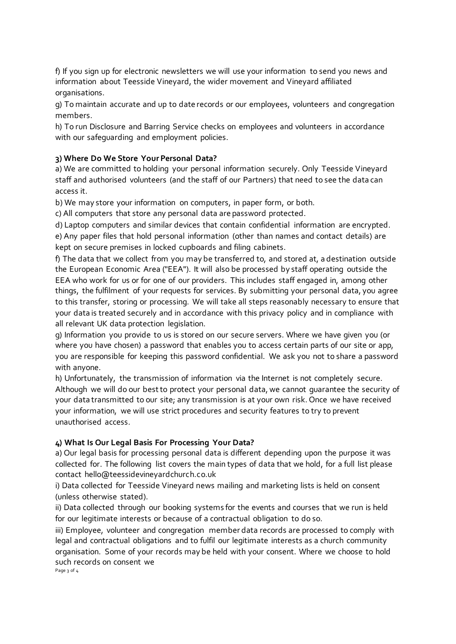f) If you sign up for electronic newsletters we will use your information to send you news and information about Teesside Vineyard, the wider movement and Vineyard affiliated organisations.

g) To maintain accurate and up to date records or our employees, volunteers and congregation members.

h) To run Disclosure and Barring Service checks on employees and volunteers in accordance with our safeguarding and employment policies.

## **3) Where Do We Store Your Personal Data?**

a) We are committed to holding your personal information securely. Only Teesside Vineyard staff and authorised volunteers (and the staff of our Partners) that need to see the data can access it.

b) We may store your information on computers, in paper form, or both.

c) All computers that store any personal data are password protected.

d) Laptop computers and similar devices that contain confidential information are encrypted. e) Any paper files that hold personal information (other than names and contact details) are kept on secure premises in locked cupboards and filing cabinets.

f) The data that we collect from you may be transferred to, and stored at, a destination outside the European Economic Area ("EEA"). It will also be processed by staff operating outside the EEA who work for us or for one of our providers. This includes staff engaged in, among other things, the fulfilment of your requests for services. By submitting your personal data, you agree to this transfer, storing or processing. We will take all steps reasonably necessary to ensure that your data is treated securely and in accordance with this privacy policy and in compliance with all relevant UK data protection legislation.

g) Information you provide to us is stored on our secure servers. Where we have given you (or where you have chosen) a password that enables you to access certain parts of our site or app, you are responsible for keeping this password confidential. We ask you not to share a password with anyone.

h) Unfortunately, the transmission of information via the Internet is not completely secure. Although we will do our best to protect your personal data, we cannot guarantee the security of your data transmitted to our site; any transmission is at your own risk. Once we have received your information, we will use strict procedures and security features to try to prevent unauthorised access.

### **4) What Is Our Legal Basis For Processing Your Data?**

a) Our legal basis for processing personal data is different depending upon the purpose it was collected for. The following list covers the main types of data that we hold, for a full list please contact hello@teessidevineyardchurch.co.uk

i) Data collected for Teesside Vineyard news mailing and marketing lists is held on consent (unless otherwise stated).

ii) Data collected through our booking systems for the events and courses that we run is held for our legitimate interests or because of a contractual obligation to do so.

iii) Employee, volunteer and congregation member data records are processed to comply with legal and contractual obligations and to fulfil our legitimate interests as a church community organisation. Some of your records may be held with your consent. Where we choose to hold such records on consent we

Page 3 of 4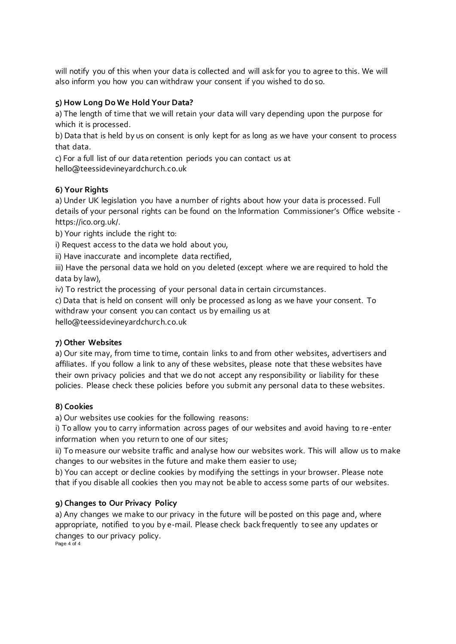will notify you of this when your data is collected and will ask for you to agree to this. We will also inform you how you can withdraw your consent if you wished to do so.

## **5) How Long Do We Hold Your Data?**

a) The length of time that we will retain your data will vary depending upon the purpose for which it is processed.

b) Data that is held by us on consent is only kept for as long as we have your consent to process that data.

c) For a full list of our data retention periods you can contact us at hello@teessidevineyardchurch.co.uk

### **6) Your Rights**

a) Under UK legislation you have a number of rights about how your data is processed. Full details of your personal rights can be found on the Information Commissioner's Office website https://ico.org.uk/.

b) Your rights include the right to:

i) Request access to the data we hold about you,

ii) Have inaccurate and incomplete data rectified,

iii) Have the personal data we hold on you deleted (except where we are required to hold the data by law),

iv) To restrict the processing of your personal data in certain circumstances.

c) Data that is held on consent will only be processed as long as we have your consent. To withdraw your consent you can contact us by emailing us at

hello@teessidevineyardchurch.co.uk

#### **7) Other Websites**

a) Our site may, from time to time, contain links to and from other websites, advertisers and affiliates. If you follow a link to any of these websites, please note that these websites have their own privacy policies and that we do not accept any responsibility or liability for these policies. Please check these policies before you submit any personal data to these websites.

### **8) Cookies**

a) Our websites use cookies for the following reasons:

i) To allow you to carry information across pages of our websites and avoid having to re-enter information when you return to one of our sites;

ii) To measure our website traffic and analyse how our websites work. This will allow us to make changes to our websites in the future and make them easier to use;

b) You can accept or decline cookies by modifying the settings in your browser. Please note that if you disable all cookies then you may not be able to access some parts of our websites.

### **9) Changes to Our Privacy Policy**

a) Any changes we make to our privacy in the future will be posted on this page and, where appropriate, notified to you by e-mail. Please check back frequently to see any updates or changes to our privacy policy. Page 4 of 4